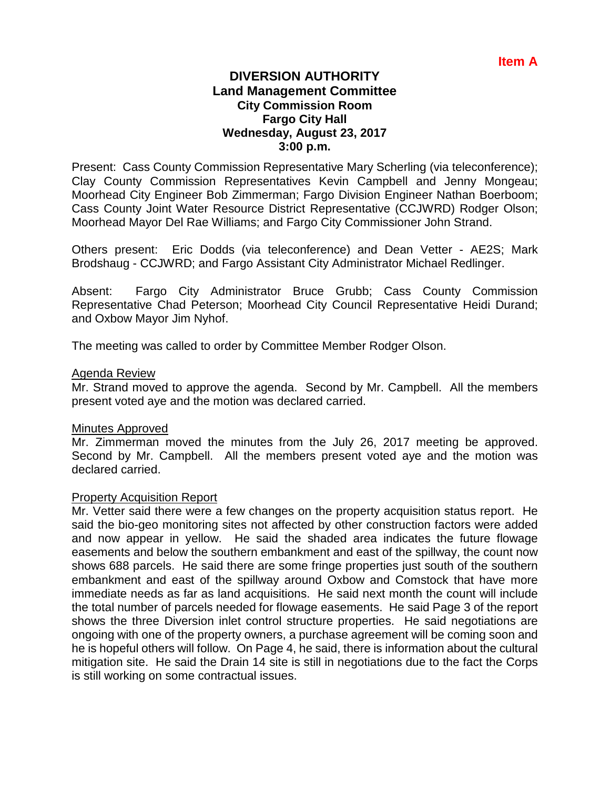# **DIVERSION AUTHORITY Land Management Committee City Commission Room Fargo City Hall Wednesday, August 23, 2017 3:00 p.m.**

Present: Cass County Commission Representative Mary Scherling (via teleconference); Clay County Commission Representatives Kevin Campbell and Jenny Mongeau; Moorhead City Engineer Bob Zimmerman; Fargo Division Engineer Nathan Boerboom; Cass County Joint Water Resource District Representative (CCJWRD) Rodger Olson; Moorhead Mayor Del Rae Williams; and Fargo City Commissioner John Strand.

Others present: Eric Dodds (via teleconference) and Dean Vetter - AE2S; Mark Brodshaug - CCJWRD; and Fargo Assistant City Administrator Michael Redlinger.

Absent: Fargo City Administrator Bruce Grubb; Cass County Commission Representative Chad Peterson; Moorhead City Council Representative Heidi Durand; and Oxbow Mayor Jim Nyhof.

The meeting was called to order by Committee Member Rodger Olson.

## Agenda Review

Mr. Strand moved to approve the agenda. Second by Mr. Campbell. All the members present voted aye and the motion was declared carried.

## Minutes Approved

Mr. Zimmerman moved the minutes from the July 26, 2017 meeting be approved. Second by Mr. Campbell. All the members present voted aye and the motion was declared carried.

## Property Acquisition Report

Mr. Vetter said there were a few changes on the property acquisition status report. He said the bio-geo monitoring sites not affected by other construction factors were added and now appear in yellow. He said the shaded area indicates the future flowage easements and below the southern embankment and east of the spillway, the count now shows 688 parcels. He said there are some fringe properties just south of the southern embankment and east of the spillway around Oxbow and Comstock that have more immediate needs as far as land acquisitions. He said next month the count will include the total number of parcels needed for flowage easements. He said Page 3 of the report shows the three Diversion inlet control structure properties. He said negotiations are ongoing with one of the property owners, a purchase agreement will be coming soon and he is hopeful others will follow. On Page 4, he said, there is information about the cultural mitigation site. He said the Drain 14 site is still in negotiations due to the fact the Corps is still working on some contractual issues.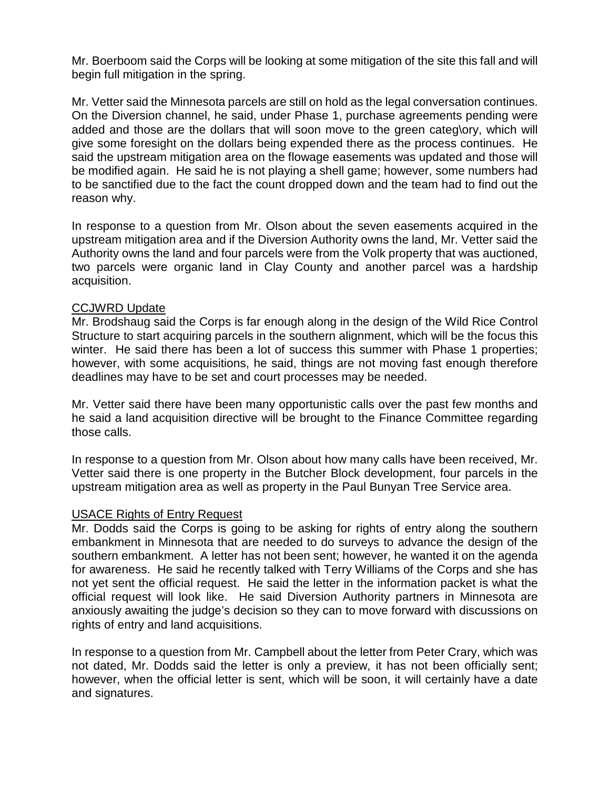Mr. Boerboom said the Corps will be looking at some mitigation of the site this fall and will begin full mitigation in the spring.

Mr. Vetter said the Minnesota parcels are still on hold as the legal conversation continues. On the Diversion channel, he said, under Phase 1, purchase agreements pending were added and those are the dollars that will soon move to the green categ\ory, which will give some foresight on the dollars being expended there as the process continues. He said the upstream mitigation area on the flowage easements was updated and those will be modified again. He said he is not playing a shell game; however, some numbers had to be sanctified due to the fact the count dropped down and the team had to find out the reason why.

In response to a question from Mr. Olson about the seven easements acquired in the upstream mitigation area and if the Diversion Authority owns the land, Mr. Vetter said the Authority owns the land and four parcels were from the Volk property that was auctioned, two parcels were organic land in Clay County and another parcel was a hardship acquisition.

## CCJWRD Update

Mr. Brodshaug said the Corps is far enough along in the design of the Wild Rice Control Structure to start acquiring parcels in the southern alignment, which will be the focus this winter. He said there has been a lot of success this summer with Phase 1 properties; however, with some acquisitions, he said, things are not moving fast enough therefore deadlines may have to be set and court processes may be needed.

Mr. Vetter said there have been many opportunistic calls over the past few months and he said a land acquisition directive will be brought to the Finance Committee regarding those calls.

In response to a question from Mr. Olson about how many calls have been received, Mr. Vetter said there is one property in the Butcher Block development, four parcels in the upstream mitigation area as well as property in the Paul Bunyan Tree Service area.

## USACE Rights of Entry Request

Mr. Dodds said the Corps is going to be asking for rights of entry along the southern embankment in Minnesota that are needed to do surveys to advance the design of the southern embankment. A letter has not been sent; however, he wanted it on the agenda for awareness. He said he recently talked with Terry Williams of the Corps and she has not yet sent the official request. He said the letter in the information packet is what the official request will look like. He said Diversion Authority partners in Minnesota are anxiously awaiting the judge's decision so they can to move forward with discussions on rights of entry and land acquisitions.

In response to a question from Mr. Campbell about the letter from Peter Crary, which was not dated, Mr. Dodds said the letter is only a preview, it has not been officially sent; however, when the official letter is sent, which will be soon, it will certainly have a date and signatures.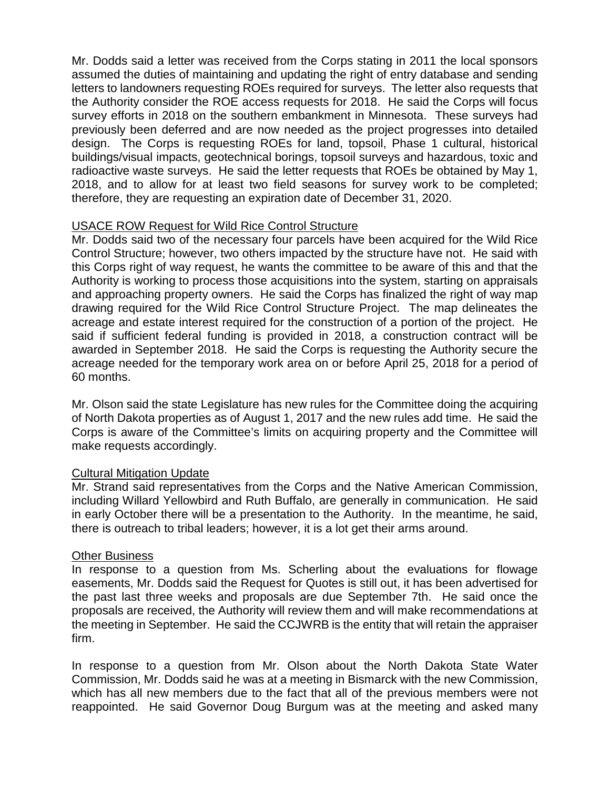Mr. Dodds said a letter was received from the Corps stating in 2011 the local sponsors assumed the duties of maintaining and updating the right of entry database and sending letters to landowners requesting ROEs required for surveys. The letter also requests that the Authority consider the ROE access requests for 2018. He said the Corps will focus survey efforts in 2018 on the southern embankment in Minnesota. These surveys had previously been deferred and are now needed as the project progresses into detailed design. The Corps is requesting ROEs for land, topsoil, Phase 1 cultural, historical buildings/visual impacts, geotechnical borings, topsoil surveys and hazardous, toxic and radioactive waste surveys. He said the letter requests that ROEs be obtained by May 1, 2018, and to allow for at least two field seasons for survey work to be completed; therefore, they are requesting an expiration date of December 31, 2020.

# USACE ROW Request for Wild Rice Control Structure

Mr. Dodds said two of the necessary four parcels have been acquired for the Wild Rice Control Structure; however, two others impacted by the structure have not. He said with this Corps right of way request, he wants the committee to be aware of this and that the Authority is working to process those acquisitions into the system, starting on appraisals and approaching property owners. He said the Corps has finalized the right of way map drawing required for the Wild Rice Control Structure Project. The map delineates the acreage and estate interest required for the construction of a portion of the project. He said if sufficient federal funding is provided in 2018, a construction contract will be awarded in September 2018. He said the Corps is requesting the Authority secure the acreage needed for the temporary work area on or before April 25, 2018 for a period of 60 months.

Mr. Olson said the state Legislature has new rules for the Committee doing the acquiring of North Dakota properties as of August 1, 2017 and the new rules add time. He said the Corps is aware of the Committee's limits on acquiring property and the Committee will make requests accordingly.

# Cultural Mitigation Update

Mr. Strand said representatives from the Corps and the Native American Commission, including Willard Yellowbird and Ruth Buffalo, are generally in communication. He said in early October there will be a presentation to the Authority. In the meantime, he said, there is outreach to tribal leaders; however, it is a lot get their arms around.

# Other Business

In response to a question from Ms. Scherling about the evaluations for flowage easements, Mr. Dodds said the Request for Quotes is still out, it has been advertised for the past last three weeks and proposals are due September 7th. He said once the proposals are received, the Authority will review them and will make recommendations at the meeting in September. He said the CCJWRB is the entity that will retain the appraiser firm.

In response to a question from Mr. Olson about the North Dakota State Water Commission, Mr. Dodds said he was at a meeting in Bismarck with the new Commission, which has all new members due to the fact that all of the previous members were not reappointed. He said Governor Doug Burgum was at the meeting and asked many